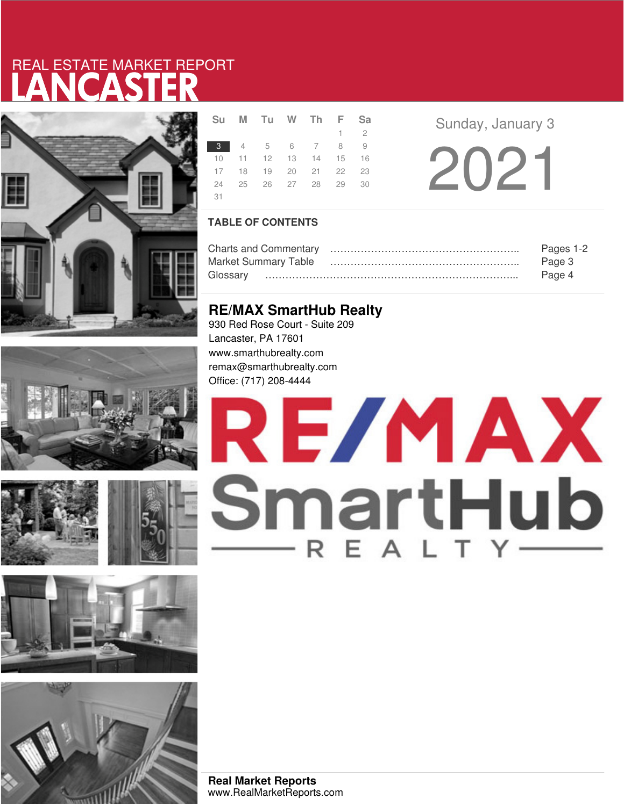# LANCASTER REAL ESTATE MARKET REPORT













|      | Su M Tu W Th F Sa          |  |         |  |  |
|------|----------------------------|--|---------|--|--|
|      |                            |  | $1 \t2$ |  |  |
|      | 3 4 5 6 7 8 9              |  |         |  |  |
|      | 10 11 12 13 14 15 16       |  |         |  |  |
|      | 17 18 19 20 21 22 23       |  |         |  |  |
|      | 24  25  26  27  28  29  30 |  |         |  |  |
| - 31 |                            |  |         |  |  |

**Sunday, January 3** 

2021

## **TABLE OF CONTENTS**

|                             | Pages 1-2 |
|-----------------------------|-----------|
| <b>Market Summary Table</b> | Page 3    |
|                             | Page 4    |

# **RE/MAX SmartHub Realty**

930 Red Rose Court - Suite 209 Lancaster, PA 17601 www.smarthubrealty.com remax@smarthubrealty.com Office: (717) 208-4444

# RE/MAX SmartHub

**Real Market Reports** www.RealMarketReports.com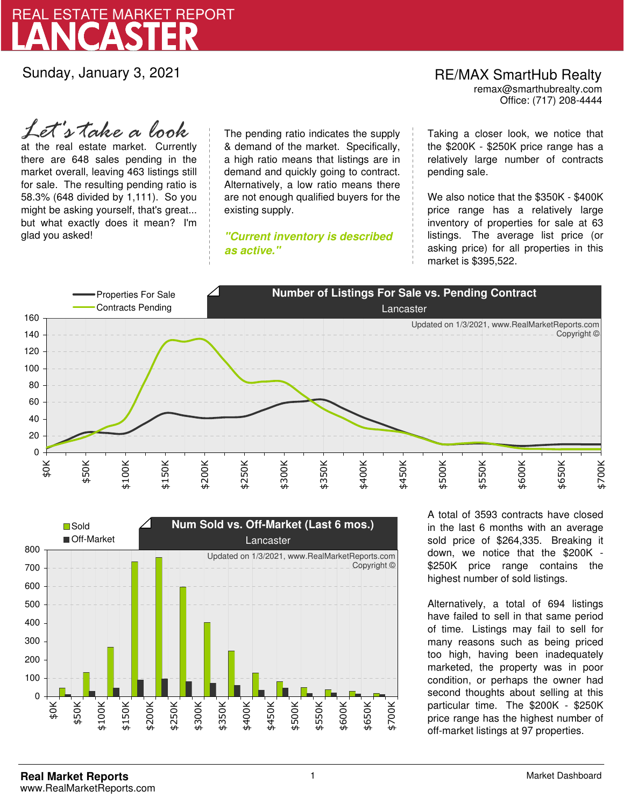

Sunday, January 3, 2021

# RE/MAX SmartHub Realty remax@smarthubrealty.com

Office: (717) 208-4444

at the real estate market. Currently there are 648 sales pending in the market overall, leaving 463 listings still for sale. The resulting pending ratio is 58.3% (648 divided by 1,111). So you might be asking yourself, that's great... but what exactly does it mean? I'm glad you asked! *Let's take a look*

The pending ratio indicates the supply & demand of the market. Specifically, a high ratio means that listings are in demand and quickly going to contract. Alternatively, a low ratio means there are not enough qualified buyers for the existing supply.

**"Current inventory is described as active."**

Taking a closer look, we notice that the \$200K - \$250K price range has a relatively large number of contracts pending sale.

We also notice that the \$350K - \$400K price range has a relatively large inventory of properties for sale at 63 listings. The average list price (or asking price) for all properties in this market is \$395,522.





A total of 3593 contracts have closed in the last 6 months with an average sold price of \$264,335. Breaking it down, we notice that the \$200K - \$250K price range contains the highest number of sold listings.

Alternatively, a total of 694 listings have failed to sell in that same period of time. Listings may fail to sell for many reasons such as being priced too high, having been inadequately marketed, the property was in poor condition, or perhaps the owner had second thoughts about selling at this particular time. The \$200K - \$250K price range has the highest number of off-market listings at 97 properties.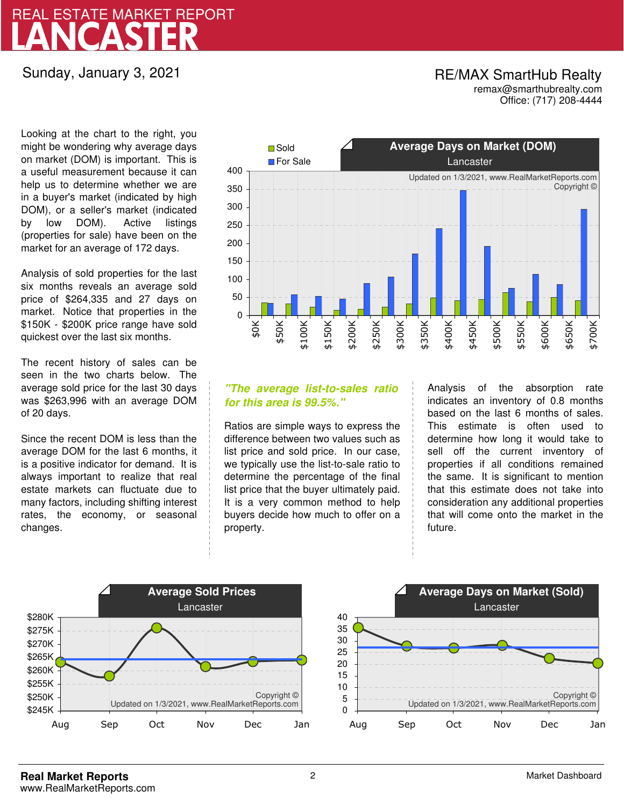# LANCASTER REAL ESTATE MARKET REPORT

# Sunday, January 3, 2021

## RE/MAX SmartHub Realty remax@smarthubrealty.com

Office: (717) 208-4444

Looking at the chart to the right, you might be wondering why average days on market (DOM) is important. This is a useful measurement because it can help us to determine whether we are in a buyer's market (indicated by high DOM), or a seller's market (indicated by low DOM). Active listings (properties for sale) have been on the market for an average of 172 days.

Analysis of sold properties for the last six months reveals an average sold price of \$264,335 and 27 days on market. Notice that properties in the \$150K - \$200K price range have sold quickest over the last six months.

The recent history of sales can be seen in the two charts below. The average sold price for the last 30 days was \$263,996 with an average DOM of 20 days.

Since the recent DOM is less than the average DOM for the last 6 months, it is a positive indicator for demand. It is always important to realize that real estate markets can fluctuate due to many factors, including shifting interest rates, the economy, or seasonal changes.



## **"The average list-to-sales ratio for this area is 99.5%."**

Ratios are simple ways to express the difference between two values such as list price and sold price. In our case, we typically use the list-to-sale ratio to determine the percentage of the final list price that the buyer ultimately paid. It is a very common method to help buyers decide how much to offer on a property.

Analysis of the absorption rate indicates an inventory of 0.8 months based on the last 6 months of sales. This estimate is often used to determine how long it would take to sell off the current inventory of properties if all conditions remained the same. It is significant to mention that this estimate does not take into consideration any additional properties that will come onto the market in the future.



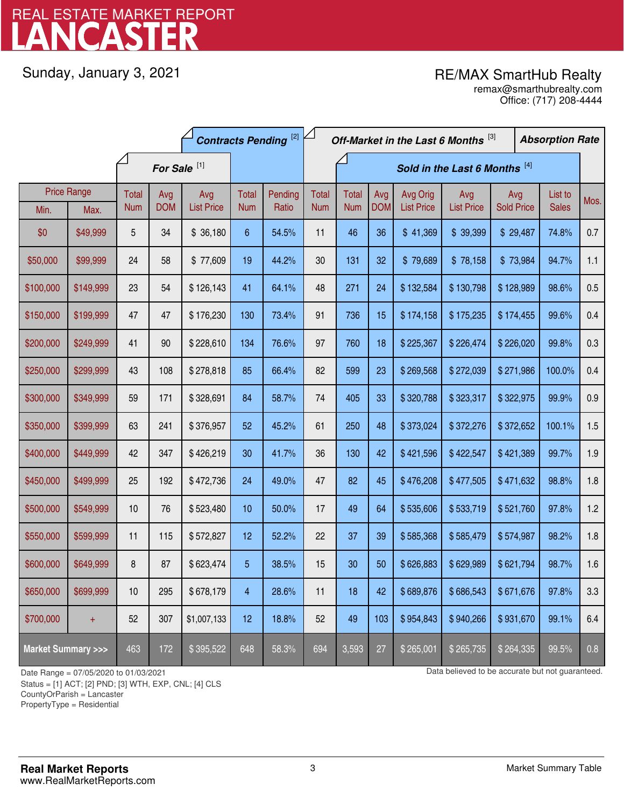# LANCASTER REAL ESTATE MARKET REPORT

Sunday, January 3, 2021

# RE/MAX SmartHub Realty

Office: (717) 208-4444 remax@smarthubrealty.com

|                                    |                    | <b>Contracts Pending [2]</b> |            |                               |            |         | Off-Market in the Last 6 Months [3] |              |            |                   |                   | <b>Absorption Rate</b> |  |              |      |
|------------------------------------|--------------------|------------------------------|------------|-------------------------------|------------|---------|-------------------------------------|--------------|------------|-------------------|-------------------|------------------------|--|--------------|------|
| For Sale <sup>[1]</sup>            |                    |                              |            | Sold in the Last 6 Months [4] |            |         |                                     |              |            |                   |                   |                        |  |              |      |
|                                    | <b>Price Range</b> | Total                        | Avg        | Avg                           | Total      | Pending | <b>Total</b>                        | <b>Total</b> | Avg        | Avg Orig          | Avg               | Avg                    |  | List to      | Mos. |
| Min.                               | Max.               | <b>Num</b>                   | <b>DOM</b> | <b>List Price</b>             | <b>Num</b> | Ratio   | <b>Num</b>                          | <b>Num</b>   | <b>DOM</b> | <b>List Price</b> | <b>List Price</b> | <b>Sold Price</b>      |  | <b>Sales</b> |      |
| \$0                                | \$49,999           | 5                            | 34         | \$36,180                      | 6          | 54.5%   | 11                                  | 46           | 36         | \$41,369          | \$39,399          | \$29,487               |  | 74.8%        | 0.7  |
| \$50,000                           | \$99,999           | 24                           | 58         | \$77,609                      | 19         | 44.2%   | 30                                  | 131          | 32         | \$79,689          | \$78,158          | \$73,984               |  | 94.7%        | 1.1  |
| \$100,000                          | \$149,999          | 23                           | 54         | \$126,143                     | 41         | 64.1%   | 48                                  | 271          | 24         | \$132,584         | \$130,798         | \$128,989              |  | 98.6%        | 0.5  |
| \$150,000                          | \$199,999          | 47                           | 47         | \$176,230                     | 130        | 73.4%   | 91                                  | 736          | 15         | \$174,158         | \$175,235         | \$174,455              |  | 99.6%        | 0.4  |
| \$200,000                          | \$249,999          | 41                           | 90         | \$228,610                     | 134        | 76.6%   | 97                                  | 760          | 18         | \$225,367         | \$226,474         | \$226,020              |  | 99.8%        | 0.3  |
| \$250,000                          | \$299,999          | 43                           | 108        | \$278,818                     | 85         | 66.4%   | 82                                  | 599          | 23         | \$269,568         | \$272,039         | \$271,986              |  | 100.0%       | 0.4  |
| \$300,000                          | \$349,999          | 59                           | 171        | \$328,691                     | 84         | 58.7%   | 74                                  | 405          | 33         | \$320,788         | \$323,317         | \$322,975              |  | 99.9%        | 0.9  |
| \$350,000                          | \$399,999          | 63                           | 241        | \$376,957                     | 52         | 45.2%   | 61                                  | 250          | 48         | \$373,024         | \$372,276         | \$372,652              |  | 100.1%       | 1.5  |
| \$400,000                          | \$449,999          | 42                           | 347        | \$426,219                     | 30         | 41.7%   | 36                                  | 130          | 42         | \$421,596         | \$422,547         | \$421,389              |  | 99.7%        | 1.9  |
| \$450,000                          | \$499,999          | 25                           | 192        | \$472,736                     | 24         | 49.0%   | 47                                  | 82           | 45         | \$476,208         | \$477,505         | \$471,632              |  | 98.8%        | 1.8  |
| \$500,000                          | \$549,999          | 10                           | 76         | \$523,480                     | 10         | 50.0%   | 17                                  | 49           | 64         | \$535,606         | \$533,719         | \$521,760              |  | 97.8%        | 1.2  |
| \$550,000                          | \$599,999          | 11                           | 115        | \$572,827                     | 12         | 52.2%   | 22                                  | 37           | 39         | \$585,368         | \$585,479         | \$574,987              |  | 98.2%        | 1.8  |
| \$600,000                          | \$649,999          | 8                            | 87         | \$623,474                     | 5          | 38.5%   | 15                                  | 30           | 50         | \$626,883         | \$629,989         | \$621,794              |  | 98.7%        | 1.6  |
| \$650,000                          | \$699,999          | 10                           | 295        | \$678,179                     | 4          | 28.6%   | 11                                  | 18           | 42         | \$689,876         | \$686,543         | \$671,676              |  | 97.8%        | 3.3  |
| \$700,000                          | $+$                | 52                           | 307        | \$1,007,133                   | 12         | 18.8%   | 52                                  | 49           | 103        | \$954,843         | \$940,266         | \$931,670              |  | 99.1%        | 6.4  |
| <b>Market Summary &gt;&gt;&gt;</b> |                    | 463                          | 172        | \$395,522                     | 648        | 58.3%   | 694                                 | 3,593        | 27         | \$265,001         | \$265,735         | \$264,335              |  | 99.5%        | 0.8  |

Status = [1] ACT; [2] PND; [3] WTH, EXP, CNL; [4] CLS

CountyOrParish = Lancaster

PropertyType = Residential

1

Date Range = 07/05/2020 to 01/03/2021 001/03/2021 Data believed to be accurate but not guaranteed.